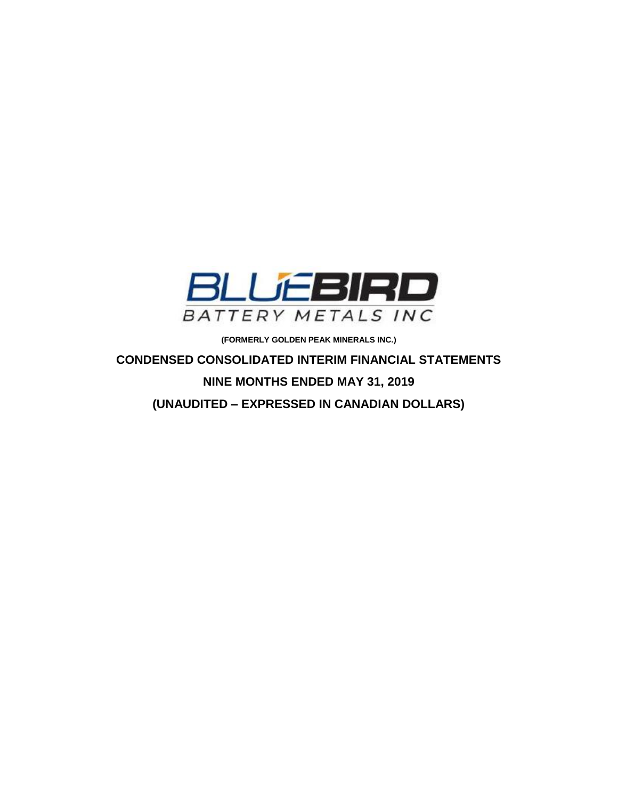

**(FORMERLY GOLDEN PEAK MINERALS INC.)**

**CONDENSED CONSOLIDATED INTERIM FINANCIAL STATEMENTS NINE MONTHS ENDED MAY 31, 2019 (UNAUDITED – EXPRESSED IN CANADIAN DOLLARS)**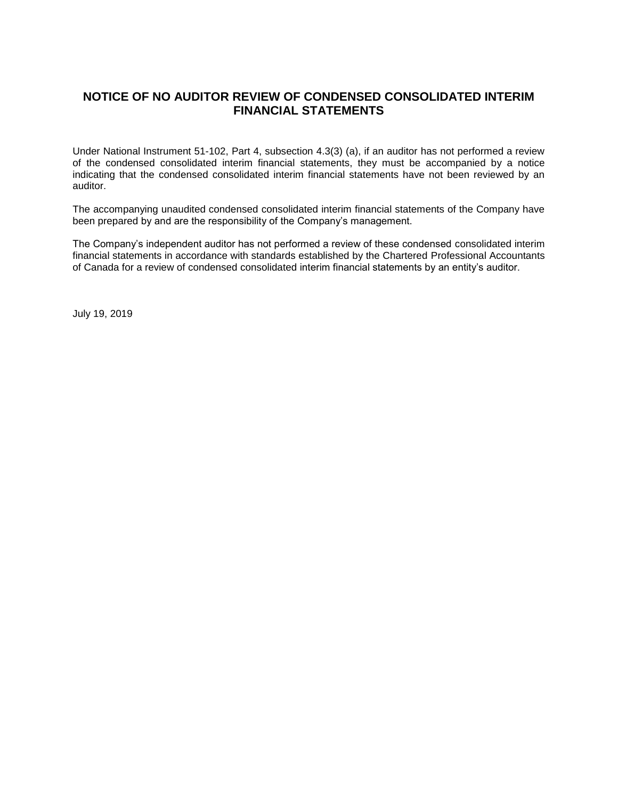# **NOTICE OF NO AUDITOR REVIEW OF CONDENSED CONSOLIDATED INTERIM FINANCIAL STATEMENTS**

Under National Instrument 51-102, Part 4, subsection 4.3(3) (a), if an auditor has not performed a review of the condensed consolidated interim financial statements, they must be accompanied by a notice indicating that the condensed consolidated interim financial statements have not been reviewed by an auditor.

The accompanying unaudited condensed consolidated interim financial statements of the Company have been prepared by and are the responsibility of the Company's management.

The Company's independent auditor has not performed a review of these condensed consolidated interim financial statements in accordance with standards established by the Chartered Professional Accountants of Canada for a review of condensed consolidated interim financial statements by an entity's auditor.

July 19, 2019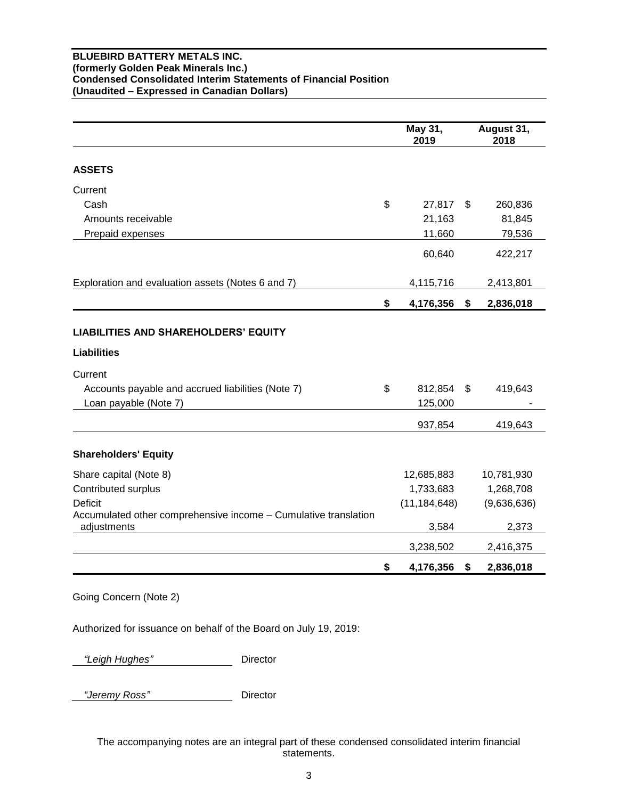### **BLUEBIRD BATTERY METALS INC. (formerly Golden Peak Minerals Inc.) Condensed Consolidated Interim Statements of Financial Position (Unaudited – Expressed in Canadian Dollars)**

|                                                                                | May 31,<br>2019    |      | August 31,<br>2018 |
|--------------------------------------------------------------------------------|--------------------|------|--------------------|
| <b>ASSETS</b>                                                                  |                    |      |                    |
| Current                                                                        |                    |      |                    |
| Cash                                                                           | \$<br>27,817       | - \$ | 260,836            |
| Amounts receivable                                                             | 21,163             |      | 81,845             |
| Prepaid expenses                                                               | 11,660             |      | 79,536             |
|                                                                                | 60,640             |      | 422,217            |
| Exploration and evaluation assets (Notes 6 and 7)                              | 4,115,716          |      | 2,413,801          |
|                                                                                | \$<br>4,176,356    | \$   | 2,836,018          |
| <b>LIABILITIES AND SHAREHOLDERS' EQUITY</b><br><b>Liabilities</b>              |                    |      |                    |
|                                                                                |                    |      |                    |
| Current                                                                        |                    |      |                    |
| Accounts payable and accrued liabilities (Note 7)                              | \$<br>812,854      | \$   | 419,643            |
| Loan payable (Note 7)                                                          | 125,000<br>937,854 |      | 419,643            |
|                                                                                |                    |      |                    |
| <b>Shareholders' Equity</b>                                                    |                    |      |                    |
| Share capital (Note 8)                                                         | 12,685,883         |      | 10,781,930         |
| Contributed surplus                                                            | 1,733,683          |      | 1,268,708          |
| Deficit                                                                        | (11, 184, 648)     |      | (9,636,636)        |
| Accumulated other comprehensive income - Cumulative translation<br>adjustments | 3,584              |      | 2,373              |
|                                                                                | 3,238,502          |      | 2,416,375          |
|                                                                                | \$<br>4,176,356    | \$   | 2,836,018          |

Going Concern (Note 2)

Authorized for issuance on behalf of the Board on July 19, 2019:

 *"Leigh Hughes"* Director

 *"Jeremy Ross"* Director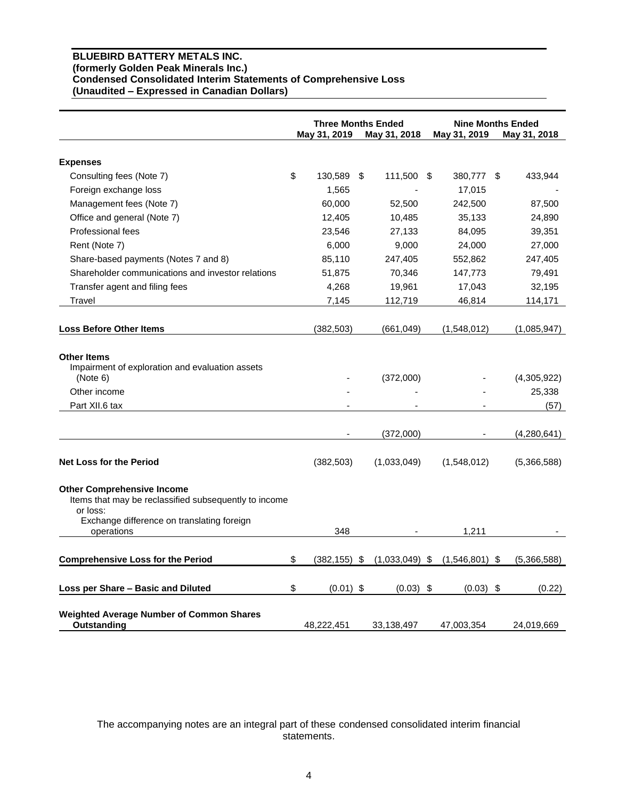# **BLUEBIRD BATTERY METALS INC. (formerly Golden Peak Minerals Inc.) Condensed Consolidated Interim Statements of Comprehensive Loss (Unaudited – Expressed in Canadian Dollars)**

|                                                                                                                                                      | <b>Three Months Ended</b> |    |                  | <b>Nine Months Ended</b> |                  |                               |
|------------------------------------------------------------------------------------------------------------------------------------------------------|---------------------------|----|------------------|--------------------------|------------------|-------------------------------|
|                                                                                                                                                      | May 31, 2019              |    | May 31, 2018     |                          | May 31, 2019     | May 31, 2018                  |
| <b>Expenses</b>                                                                                                                                      |                           |    |                  |                          |                  |                               |
| Consulting fees (Note 7)                                                                                                                             | \$<br>130,589             | \$ | 111,500          | - \$                     | 380,777 \$       | 433,944                       |
| Foreign exchange loss                                                                                                                                | 1,565                     |    |                  |                          | 17,015           |                               |
| Management fees (Note 7)                                                                                                                             | 60,000                    |    | 52,500           |                          | 242,500          | 87,500                        |
| Office and general (Note 7)                                                                                                                          | 12,405                    |    | 10,485           |                          | 35,133           | 24,890                        |
| Professional fees                                                                                                                                    | 23,546                    |    | 27,133           |                          | 84,095           | 39,351                        |
| Rent (Note 7)                                                                                                                                        | 6,000                     |    | 9,000            |                          | 24,000           | 27,000                        |
| Share-based payments (Notes 7 and 8)                                                                                                                 | 85,110                    |    | 247,405          |                          | 552,862          | 247,405                       |
| Shareholder communications and investor relations                                                                                                    | 51,875                    |    | 70,346           |                          | 147,773          | 79,491                        |
| Transfer agent and filing fees                                                                                                                       | 4,268                     |    | 19,961           |                          | 17,043           | 32,195                        |
| Travel                                                                                                                                               | 7,145                     |    | 112,719          |                          | 46,814           | 114,171                       |
|                                                                                                                                                      |                           |    |                  |                          |                  |                               |
| <b>Loss Before Other Items</b>                                                                                                                       | (382, 503)                |    | (661, 049)       |                          | (1,548,012)      | (1,085,947)                   |
| <b>Other Items</b><br>Impairment of exploration and evaluation assets<br>(Note 6)<br>Other income<br>Part XII.6 tax                                  |                           |    | (372,000)        |                          |                  | (4,305,922)<br>25,338<br>(57) |
|                                                                                                                                                      |                           |    | (372,000)        |                          |                  | (4,280,641)                   |
| <b>Net Loss for the Period</b>                                                                                                                       | (382, 503)                |    | (1,033,049)      |                          | (1,548,012)      | (5,366,588)                   |
| <b>Other Comprehensive Income</b><br>Items that may be reclassified subsequently to income<br>or loss:<br>Exchange difference on translating foreign |                           |    |                  |                          |                  |                               |
| operations                                                                                                                                           | 348                       |    |                  |                          | 1,211            |                               |
| <b>Comprehensive Loss for the Period</b>                                                                                                             | \$<br>$(382, 155)$ \$     |    | $(1,033,049)$ \$ |                          | $(1,546,801)$ \$ | (5,366,588)                   |
| Loss per Share - Basic and Diluted                                                                                                                   | \$<br>$(0.01)$ \$         |    | $(0.03)$ \$      |                          | $(0.03)$ \$      | (0.22)                        |
| <b>Weighted Average Number of Common Shares</b><br>Outstanding                                                                                       | 48,222,451                |    | 33,138,497       |                          | 47,003,354       | 24,019,669                    |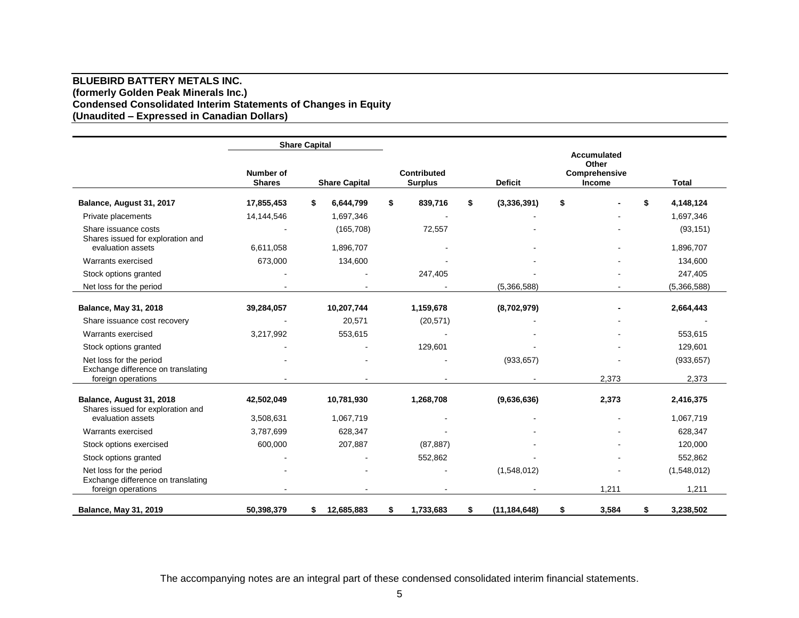### **BLUEBIRD BATTERY METALS INC. (formerly Golden Peak Minerals Inc.) Condensed Consolidated Interim Statements of Changes in Equity (Unaudited – Expressed in Canadian Dollars)**

|                                                               |                            | <b>Share Capital</b> |                                      |                      |                                                 |                 |
|---------------------------------------------------------------|----------------------------|----------------------|--------------------------------------|----------------------|-------------------------------------------------|-----------------|
|                                                               | Number of<br><b>Shares</b> | <b>Share Capital</b> | <b>Contributed</b><br><b>Surplus</b> | <b>Deficit</b>       | Accumulated<br>Other<br>Comprehensive<br>Income | <b>Total</b>    |
| Balance, August 31, 2017                                      | 17,855,453                 | \$<br>6,644,799      | \$<br>839,716                        | \$<br>(3,336,391)    | \$                                              | \$<br>4,148,124 |
| Private placements                                            | 14,144,546                 | 1,697,346            |                                      |                      |                                                 | 1,697,346       |
| Share issuance costs<br>Shares issued for exploration and     |                            | (165, 708)           | 72,557                               |                      |                                                 | (93, 151)       |
| evaluation assets                                             | 6,611,058                  | 1,896,707            |                                      |                      |                                                 | 1,896,707       |
| Warrants exercised                                            | 673,000                    | 134,600              |                                      |                      |                                                 | 134,600         |
| Stock options granted                                         |                            |                      | 247,405                              |                      |                                                 | 247,405         |
| Net loss for the period                                       |                            |                      |                                      | (5,366,588)          |                                                 | (5,366,588)     |
| <b>Balance, May 31, 2018</b>                                  | 39,284,057                 | 10,207,744           | 1,159,678                            | (8,702,979)          |                                                 | 2,664,443       |
| Share issuance cost recovery                                  |                            | 20,571               | (20, 571)                            |                      |                                                 |                 |
| Warrants exercised                                            | 3,217,992                  | 553,615              |                                      |                      |                                                 | 553,615         |
| Stock options granted                                         |                            |                      | 129,601                              |                      |                                                 | 129,601         |
| Net loss for the period<br>Exchange difference on translating |                            |                      |                                      | (933, 657)           |                                                 | (933, 657)      |
| foreign operations                                            |                            |                      |                                      |                      | 2,373                                           | 2,373           |
| Balance, August 31, 2018<br>Shares issued for exploration and | 42,502,049                 | 10,781,930           | 1,268,708                            | (9,636,636)          | 2,373                                           | 2,416,375       |
| evaluation assets                                             | 3,508,631                  | 1,067,719            |                                      |                      |                                                 | 1,067,719       |
| Warrants exercised                                            | 3,787,699                  | 628,347              |                                      |                      |                                                 | 628,347         |
| Stock options exercised                                       | 600,000                    | 207,887              | (87, 887)                            |                      |                                                 | 120,000         |
| Stock options granted                                         |                            |                      | 552,862                              |                      |                                                 | 552,862         |
| Net loss for the period<br>Exchange difference on translating |                            |                      |                                      | (1,548,012)          |                                                 | (1,548,012)     |
| foreign operations                                            |                            |                      |                                      |                      | 1,211                                           | 1,211           |
| <b>Balance, May 31, 2019</b>                                  | 50,398,379                 | 12,685,883<br>\$     | \$<br>1,733,683                      | (11, 184, 648)<br>\$ | \$<br>3,584                                     | \$<br>3,238,502 |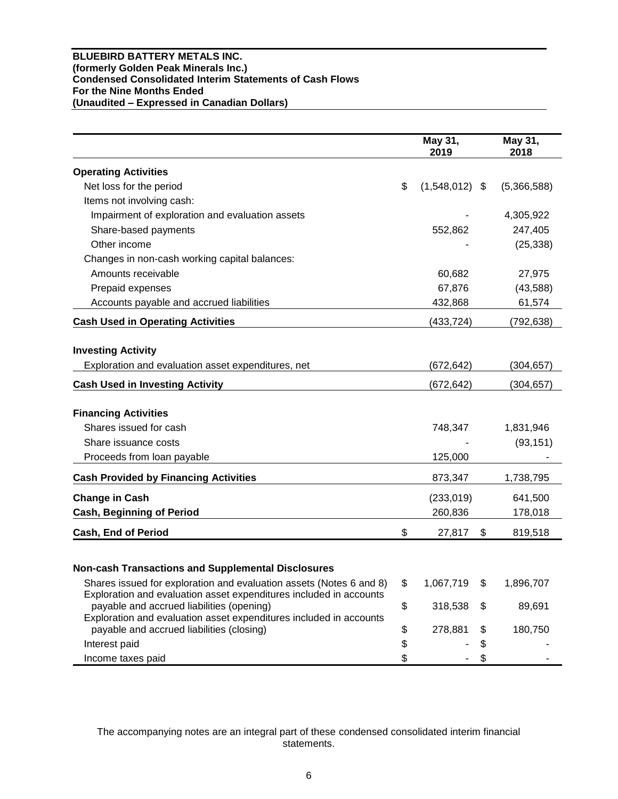# **BLUEBIRD BATTERY METALS INC. (formerly Golden Peak Minerals Inc.) Condensed Consolidated Interim Statements of Cash Flows For the Nine Months Ended (Unaudited – Expressed in Canadian Dollars)**

|                                                                                                                                           |               | May 31,<br>2019  | May 31,<br>2018 |
|-------------------------------------------------------------------------------------------------------------------------------------------|---------------|------------------|-----------------|
| <b>Operating Activities</b>                                                                                                               |               |                  |                 |
| Net loss for the period                                                                                                                   | \$            | $(1,548,012)$ \$ | (5,366,588)     |
| Items not involving cash:                                                                                                                 |               |                  |                 |
| Impairment of exploration and evaluation assets                                                                                           |               |                  | 4,305,922       |
| Share-based payments                                                                                                                      |               | 552,862          | 247,405         |
| Other income                                                                                                                              |               |                  | (25, 338)       |
| Changes in non-cash working capital balances:                                                                                             |               |                  |                 |
| Amounts receivable                                                                                                                        |               | 60,682           | 27,975          |
| Prepaid expenses                                                                                                                          |               | 67,876           | (43,588)        |
| Accounts payable and accrued liabilities                                                                                                  |               | 432,868          | 61,574          |
| <b>Cash Used in Operating Activities</b>                                                                                                  |               | (433,724)        | (792, 638)      |
| <b>Investing Activity</b>                                                                                                                 |               |                  |                 |
| Exploration and evaluation asset expenditures, net                                                                                        |               | (672,642)        | (304, 657)      |
| <b>Cash Used in Investing Activity</b>                                                                                                    |               | (672, 642)       | (304, 657)      |
| <b>Financing Activities</b>                                                                                                               |               |                  |                 |
| Shares issued for cash                                                                                                                    |               | 748,347          | 1,831,946       |
| Share issuance costs                                                                                                                      |               |                  | (93, 151)       |
| Proceeds from loan payable                                                                                                                |               | 125,000          |                 |
| <b>Cash Provided by Financing Activities</b>                                                                                              |               | 873,347          | 1,738,795       |
|                                                                                                                                           |               |                  |                 |
| <b>Change in Cash</b>                                                                                                                     |               | (233, 019)       | 641,500         |
| <b>Cash, Beginning of Period</b>                                                                                                          |               | 260,836          | 178,018         |
| <b>Cash, End of Period</b>                                                                                                                | \$            | 27,817           | \$<br>819,518   |
|                                                                                                                                           |               |                  |                 |
| <b>Non-cash Transactions and Supplemental Disclosures</b>                                                                                 |               |                  |                 |
| Shares issued for exploration and evaluation assets (Notes 6 and 8)<br>Exploration and evaluation asset expenditures included in accounts | $\frac{1}{2}$ | 1,067,719        | \$<br>1,896,707 |
| payable and accrued liabilities (opening)                                                                                                 | \$            | 318,538          | \$<br>89,691    |
| Exploration and evaluation asset expenditures included in accounts                                                                        |               |                  |                 |
| payable and accrued liabilities (closing)                                                                                                 | \$            | 278,881          | \$<br>180,750   |
| Interest paid                                                                                                                             | \$            |                  | \$              |
| Income taxes paid                                                                                                                         | \$            |                  | \$              |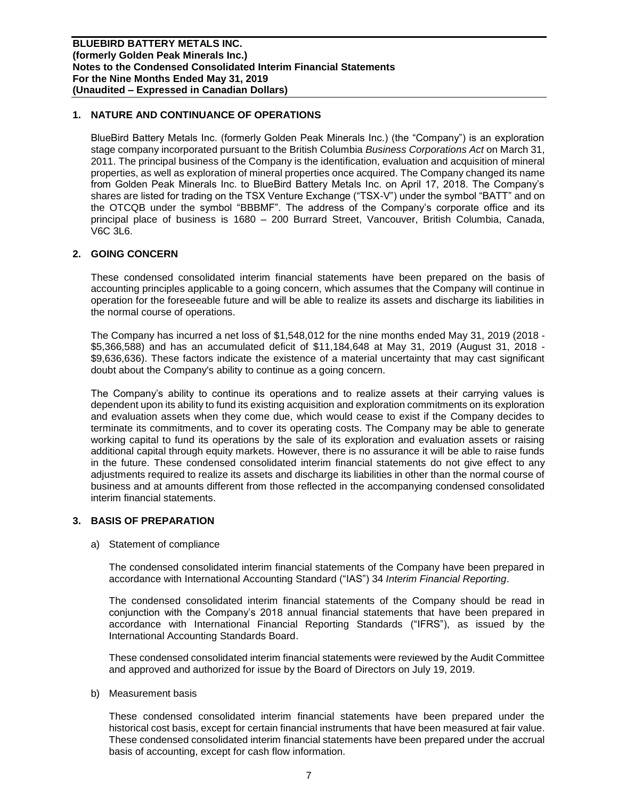# **1. NATURE AND CONTINUANCE OF OPERATIONS**

BlueBird Battery Metals Inc. (formerly Golden Peak Minerals Inc.) (the "Company") is an exploration stage company incorporated pursuant to the British Columbia *Business Corporations Act* on March 31, 2011. The principal business of the Company is the identification, evaluation and acquisition of mineral properties, as well as exploration of mineral properties once acquired. The Company changed its name from Golden Peak Minerals Inc. to BlueBird Battery Metals Inc. on April 17, 2018. The Company's shares are listed for trading on the TSX Venture Exchange ("TSX-V") under the symbol "BATT" and on the OTCQB under the symbol "BBBMF". The address of the Company's corporate office and its principal place of business is 1680 – 200 Burrard Street, Vancouver, British Columbia, Canada, V6C 3L6.

### **2. GOING CONCERN**

These condensed consolidated interim financial statements have been prepared on the basis of accounting principles applicable to a going concern, which assumes that the Company will continue in operation for the foreseeable future and will be able to realize its assets and discharge its liabilities in the normal course of operations.

The Company has incurred a net loss of \$1,548,012 for the nine months ended May 31, 2019 (2018 - \$5,366,588) and has an accumulated deficit of \$11,184,648 at May 31, 2019 (August 31, 2018 - \$9,636,636). These factors indicate the existence of a material uncertainty that may cast significant doubt about the Company's ability to continue as a going concern.

The Company's ability to continue its operations and to realize assets at their carrying values is dependent upon its ability to fund its existing acquisition and exploration commitments on its exploration and evaluation assets when they come due, which would cease to exist if the Company decides to terminate its commitments, and to cover its operating costs. The Company may be able to generate working capital to fund its operations by the sale of its exploration and evaluation assets or raising additional capital through equity markets. However, there is no assurance it will be able to raise funds in the future. These condensed consolidated interim financial statements do not give effect to any adjustments required to realize its assets and discharge its liabilities in other than the normal course of business and at amounts different from those reflected in the accompanying condensed consolidated interim financial statements.

### **3. BASIS OF PREPARATION**

a) Statement of compliance

The condensed consolidated interim financial statements of the Company have been prepared in accordance with International Accounting Standard ("IAS") 34 *Interim Financial Reporting*.

The condensed consolidated interim financial statements of the Company should be read in conjunction with the Company's 2018 annual financial statements that have been prepared in accordance with International Financial Reporting Standards ("IFRS"), as issued by the International Accounting Standards Board.

These condensed consolidated interim financial statements were reviewed by the Audit Committee and approved and authorized for issue by the Board of Directors on July 19, 2019.

b) Measurement basis

These condensed consolidated interim financial statements have been prepared under the historical cost basis, except for certain financial instruments that have been measured at fair value. These condensed consolidated interim financial statements have been prepared under the accrual basis of accounting, except for cash flow information.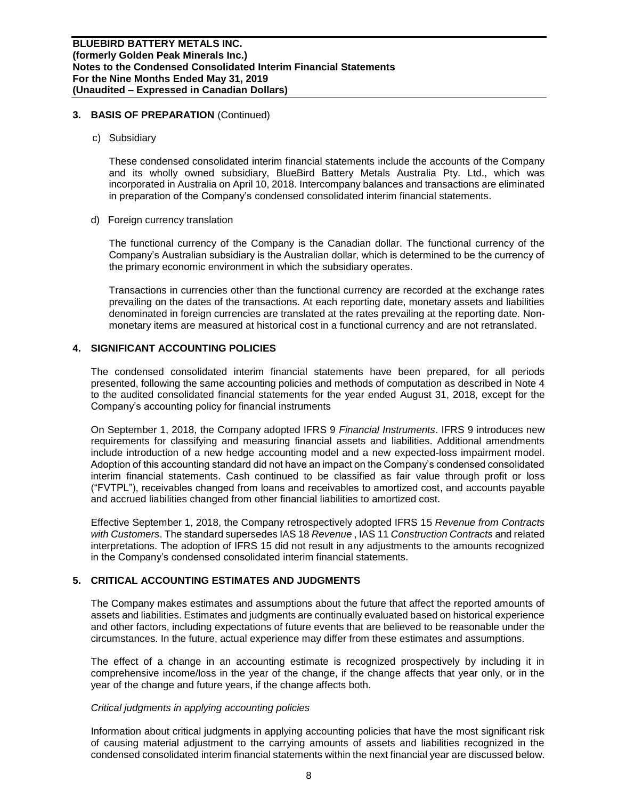### **3. BASIS OF PREPARATION** (Continued)

c) Subsidiary

These condensed consolidated interim financial statements include the accounts of the Company and its wholly owned subsidiary, BlueBird Battery Metals Australia Pty. Ltd., which was incorporated in Australia on April 10, 2018. Intercompany balances and transactions are eliminated in preparation of the Company's condensed consolidated interim financial statements.

d) Foreign currency translation

The functional currency of the Company is the Canadian dollar. The functional currency of the Company's Australian subsidiary is the Australian dollar, which is determined to be the currency of the primary economic environment in which the subsidiary operates.

Transactions in currencies other than the functional currency are recorded at the exchange rates prevailing on the dates of the transactions. At each reporting date, monetary assets and liabilities denominated in foreign currencies are translated at the rates prevailing at the reporting date. Nonmonetary items are measured at historical cost in a functional currency and are not retranslated.

# **4. SIGNIFICANT ACCOUNTING POLICIES**

The condensed consolidated interim financial statements have been prepared, for all periods presented, following the same accounting policies and methods of computation as described in Note 4 to the audited consolidated financial statements for the year ended August 31, 2018, except for the Company's accounting policy for financial instruments

On September 1, 2018, the Company adopted IFRS 9 *Financial Instruments*. IFRS 9 introduces new requirements for classifying and measuring financial assets and liabilities. Additional amendments include introduction of a new hedge accounting model and a new expected-loss impairment model. Adoption of this accounting standard did not have an impact on the Company's condensed consolidated interim financial statements. Cash continued to be classified as fair value through profit or loss ("FVTPL"), receivables changed from loans and receivables to amortized cost, and accounts payable and accrued liabilities changed from other financial liabilities to amortized cost.

Effective September 1, 2018, the Company retrospectively adopted IFRS 15 *Revenue from Contracts with Customers*. The standard supersedes IAS 18 *Revenue* , IAS 11 *Construction Contracts* and related interpretations. The adoption of IFRS 15 did not result in any adjustments to the amounts recognized in the Company's condensed consolidated interim financial statements.

# **5. CRITICAL ACCOUNTING ESTIMATES AND JUDGMENTS**

The Company makes estimates and assumptions about the future that affect the reported amounts of assets and liabilities. Estimates and judgments are continually evaluated based on historical experience and other factors, including expectations of future events that are believed to be reasonable under the circumstances. In the future, actual experience may differ from these estimates and assumptions.

The effect of a change in an accounting estimate is recognized prospectively by including it in comprehensive income/loss in the year of the change, if the change affects that year only, or in the year of the change and future years, if the change affects both.

### *Critical judgments in applying accounting policies*

Information about critical judgments in applying accounting policies that have the most significant risk of causing material adjustment to the carrying amounts of assets and liabilities recognized in the condensed consolidated interim financial statements within the next financial year are discussed below.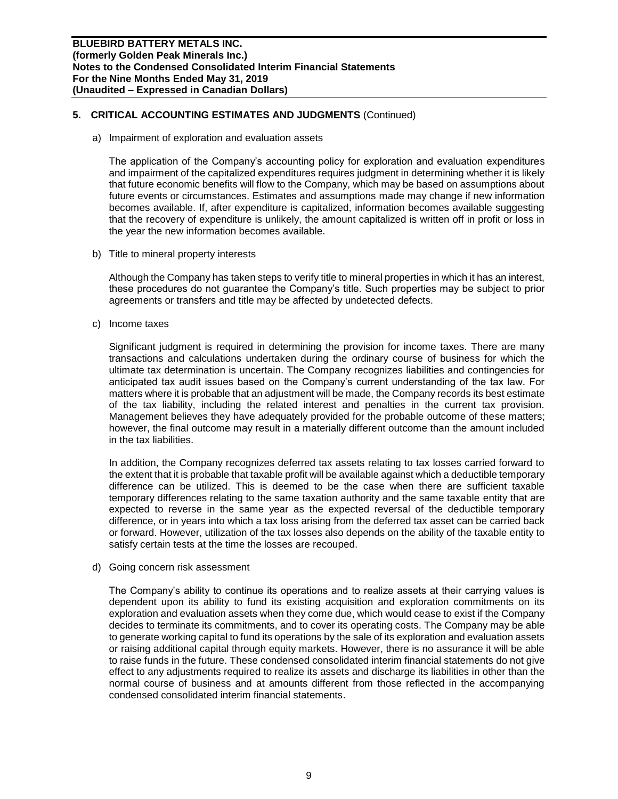# **5. CRITICAL ACCOUNTING ESTIMATES AND JUDGMENTS** (Continued)

a) Impairment of exploration and evaluation assets

The application of the Company's accounting policy for exploration and evaluation expenditures and impairment of the capitalized expenditures requires judgment in determining whether it is likely that future economic benefits will flow to the Company, which may be based on assumptions about future events or circumstances. Estimates and assumptions made may change if new information becomes available. If, after expenditure is capitalized, information becomes available suggesting that the recovery of expenditure is unlikely, the amount capitalized is written off in profit or loss in the year the new information becomes available.

b) Title to mineral property interests

Although the Company has taken steps to verify title to mineral properties in which it has an interest, these procedures do not guarantee the Company's title. Such properties may be subject to prior agreements or transfers and title may be affected by undetected defects.

c) Income taxes

Significant judgment is required in determining the provision for income taxes. There are many transactions and calculations undertaken during the ordinary course of business for which the ultimate tax determination is uncertain. The Company recognizes liabilities and contingencies for anticipated tax audit issues based on the Company's current understanding of the tax law. For matters where it is probable that an adjustment will be made, the Company records its best estimate of the tax liability, including the related interest and penalties in the current tax provision. Management believes they have adequately provided for the probable outcome of these matters; however, the final outcome may result in a materially different outcome than the amount included in the tax liabilities.

In addition, the Company recognizes deferred tax assets relating to tax losses carried forward to the extent that it is probable that taxable profit will be available against which a deductible temporary difference can be utilized. This is deemed to be the case when there are sufficient taxable temporary differences relating to the same taxation authority and the same taxable entity that are expected to reverse in the same year as the expected reversal of the deductible temporary difference, or in years into which a tax loss arising from the deferred tax asset can be carried back or forward. However, utilization of the tax losses also depends on the ability of the taxable entity to satisfy certain tests at the time the losses are recouped.

d) Going concern risk assessment

The Company's ability to continue its operations and to realize assets at their carrying values is dependent upon its ability to fund its existing acquisition and exploration commitments on its exploration and evaluation assets when they come due, which would cease to exist if the Company decides to terminate its commitments, and to cover its operating costs. The Company may be able to generate working capital to fund its operations by the sale of its exploration and evaluation assets or raising additional capital through equity markets. However, there is no assurance it will be able to raise funds in the future. These condensed consolidated interim financial statements do not give effect to any adjustments required to realize its assets and discharge its liabilities in other than the normal course of business and at amounts different from those reflected in the accompanying condensed consolidated interim financial statements.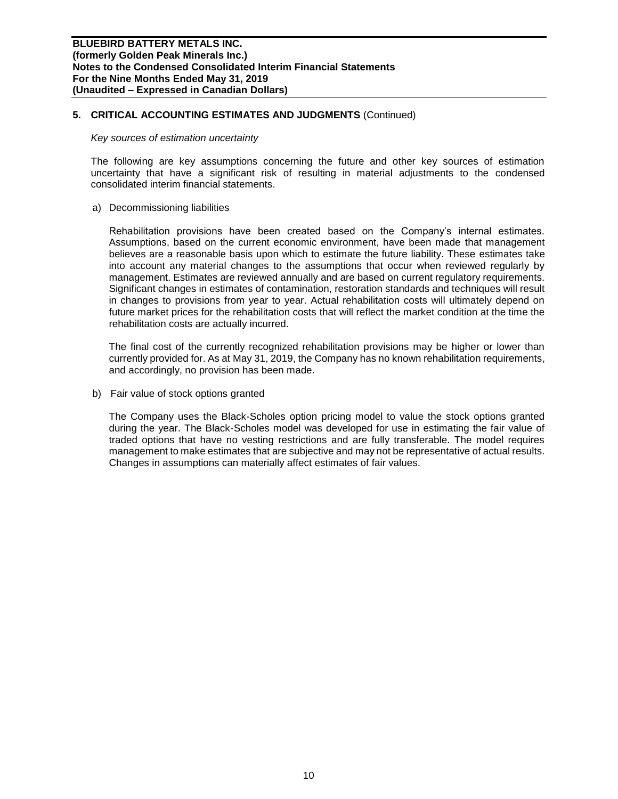# **5. CRITICAL ACCOUNTING ESTIMATES AND JUDGMENTS** (Continued)

#### *Key sources of estimation uncertainty*

The following are key assumptions concerning the future and other key sources of estimation uncertainty that have a significant risk of resulting in material adjustments to the condensed consolidated interim financial statements.

a) Decommissioning liabilities

Rehabilitation provisions have been created based on the Company's internal estimates. Assumptions, based on the current economic environment, have been made that management believes are a reasonable basis upon which to estimate the future liability. These estimates take into account any material changes to the assumptions that occur when reviewed regularly by management. Estimates are reviewed annually and are based on current regulatory requirements. Significant changes in estimates of contamination, restoration standards and techniques will result in changes to provisions from year to year. Actual rehabilitation costs will ultimately depend on future market prices for the rehabilitation costs that will reflect the market condition at the time the rehabilitation costs are actually incurred.

The final cost of the currently recognized rehabilitation provisions may be higher or lower than currently provided for. As at May 31, 2019, the Company has no known rehabilitation requirements, and accordingly, no provision has been made.

b) Fair value of stock options granted

The Company uses the Black-Scholes option pricing model to value the stock options granted during the year. The Black-Scholes model was developed for use in estimating the fair value of traded options that have no vesting restrictions and are fully transferable. The model requires management to make estimates that are subjective and may not be representative of actual results. Changes in assumptions can materially affect estimates of fair values.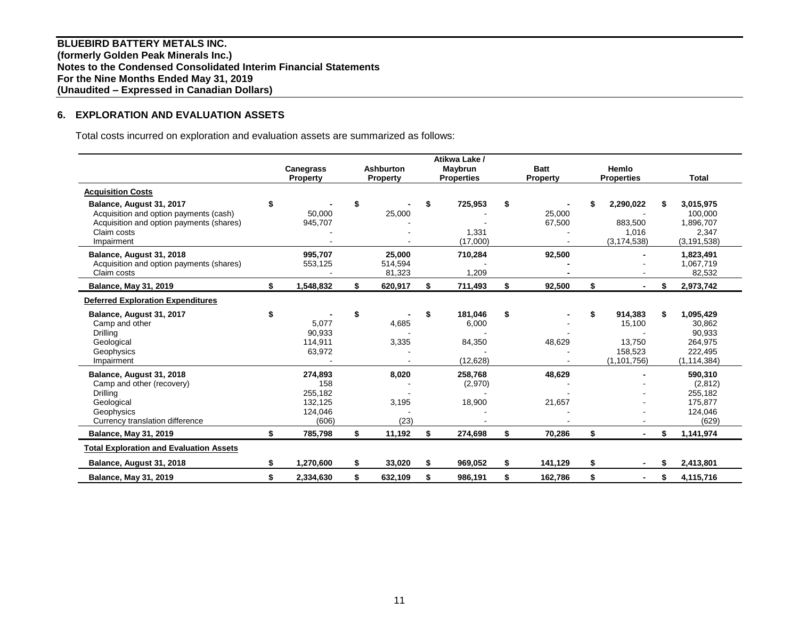**BLUEBIRD BATTERY METALS INC. (formerly Golden Peak Minerals Inc.) Notes to the Condensed Consolidated Interim Financial Statements For the Nine Months Ended May 31, 2019 (Unaudited – Expressed in Canadian Dollars)**

# **6. EXPLORATION AND EVALUATION ASSETS**

Total costs incurred on exploration and evaluation assets are summarized as follows:

|                                                                                                                                             |     |                                                          |                             |    | Atikwa Lake /                           |                        |                                                               |    |                                                                      |
|---------------------------------------------------------------------------------------------------------------------------------------------|-----|----------------------------------------------------------|-----------------------------|----|-----------------------------------------|------------------------|---------------------------------------------------------------|----|----------------------------------------------------------------------|
|                                                                                                                                             |     | <b>Canegrass</b>                                         | <b>Ashburton</b>            |    | Maybrun                                 | <b>Batt</b>            | Hemlo                                                         |    |                                                                      |
|                                                                                                                                             |     | Property                                                 | Property                    |    | <b>Properties</b>                       | Property               | <b>Properties</b>                                             |    | <b>Total</b>                                                         |
| <b>Acquisition Costs</b>                                                                                                                    |     |                                                          |                             |    |                                         |                        |                                                               |    |                                                                      |
| Balance, August 31, 2017<br>Acquisition and option payments (cash)<br>Acquisition and option payments (shares)<br>Claim costs<br>Impairment | \$  | 50,000<br>945,707                                        | \$<br>25,000                | S  | 725,953<br>1,331<br>(17,000)            | \$<br>25,000<br>67,500 | 2,290,022<br>883,500<br>1,016<br>(3, 174, 538)                | S  | 3,015,975<br>100,000<br>1,896,707<br>2,347<br>(3, 191, 538)          |
| Balance, August 31, 2018<br>Acquisition and option payments (shares)<br>Claim costs                                                         |     | 995,707<br>553,125                                       | 25,000<br>514,594<br>81,323 |    | 710,284<br>1,209                        | 92,500                 |                                                               |    | 1,823,491<br>1,067,719<br>82,532                                     |
| <b>Balance, May 31, 2019</b>                                                                                                                | \$  | 1,548,832                                                | \$<br>620,917               | \$ | 711,493                                 | \$<br>92,500           | \$                                                            | S  | 2,973,742                                                            |
| <b>Deferred Exploration Expenditures</b>                                                                                                    |     |                                                          |                             |    |                                         |                        |                                                               |    |                                                                      |
| Balance, August 31, 2017<br>Camp and other<br>Drilling<br>Geological<br>Geophysics<br>Impairment                                            | \$  | 5,077<br>90,933<br>114,911<br>63,972                     | \$<br>4,685<br>3,335        | \$ | 181,046<br>6,000<br>84,350<br>(12, 628) | \$<br>48,629           | \$<br>914,383<br>15,100<br>13,750<br>158,523<br>(1, 101, 756) | S  | 1,095,429<br>30,862<br>90,933<br>264,975<br>222,495<br>(1, 114, 384) |
| Balance, August 31, 2018<br>Camp and other (recovery)<br>Drilling<br>Geological<br>Geophysics<br>Currency translation difference            |     | 274,893<br>158<br>255,182<br>132,125<br>124,046<br>(606) | 8,020<br>3,195<br>(23)      |    | 258,768<br>(2,970)<br>18,900            | 48,629<br>21,657       |                                                               |    | 590,310<br>(2,812)<br>255,182<br>175,877<br>124,046<br>(629)         |
| <b>Balance, May 31, 2019</b>                                                                                                                | \$  | 785,798                                                  | \$<br>11,192                | \$ | 274,698                                 | \$<br>70,286           | \$                                                            |    | 1,141,974                                                            |
| <b>Total Exploration and Evaluation Assets</b>                                                                                              |     |                                                          |                             |    |                                         |                        |                                                               |    |                                                                      |
| Balance, August 31, 2018                                                                                                                    | \$. | 1,270,600                                                | \$<br>33,020                | \$ | 969,052                                 | \$<br>141,129          | \$                                                            |    | 2,413,801                                                            |
| <b>Balance, May 31, 2019</b>                                                                                                                | \$  | 2,334,630                                                | \$<br>632,109               | \$ | 986,191                                 | \$<br>162.786          | \$                                                            | \$ | 4,115,716                                                            |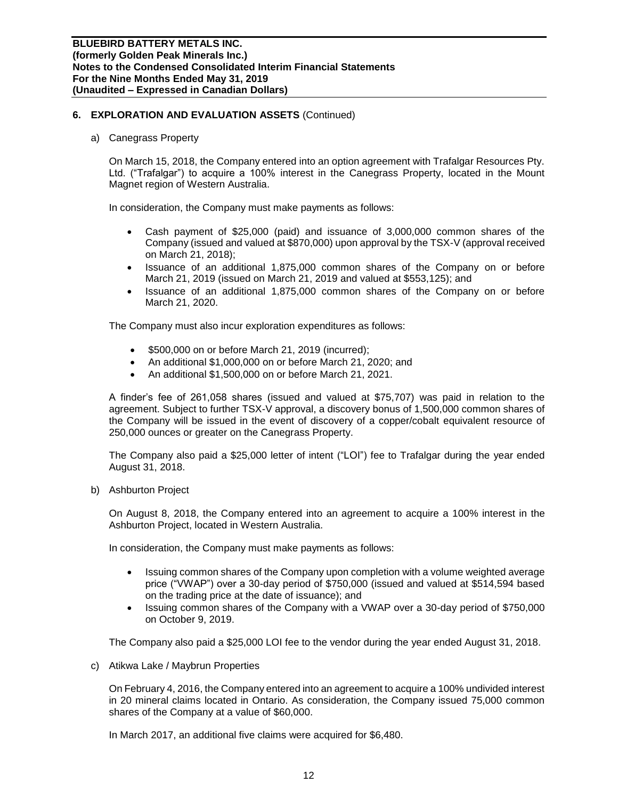a) Canegrass Property

On March 15, 2018, the Company entered into an option agreement with Trafalgar Resources Pty. Ltd. ("Trafalgar") to acquire a 100% interest in the Canegrass Property, located in the Mount Magnet region of Western Australia.

In consideration, the Company must make payments as follows:

- Cash payment of \$25,000 (paid) and issuance of 3,000,000 common shares of the Company (issued and valued at \$870,000) upon approval by the TSX-V (approval received on March 21, 2018);
- Issuance of an additional 1,875,000 common shares of the Company on or before March 21, 2019 (issued on March 21, 2019 and valued at \$553,125); and
- Issuance of an additional 1,875,000 common shares of the Company on or before March 21, 2020.

The Company must also incur exploration expenditures as follows:

- \$500,000 on or before March 21, 2019 (incurred);
- An additional \$1,000,000 on or before March 21, 2020; and
- An additional \$1,500,000 on or before March 21, 2021.

A finder's fee of 261,058 shares (issued and valued at \$75,707) was paid in relation to the agreement. Subject to further TSX-V approval, a discovery bonus of 1,500,000 common shares of the Company will be issued in the event of discovery of a copper/cobalt equivalent resource of 250,000 ounces or greater on the Canegrass Property.

The Company also paid a \$25,000 letter of intent ("LOI") fee to Trafalgar during the year ended August 31, 2018.

b) Ashburton Project

On August 8, 2018, the Company entered into an agreement to acquire a 100% interest in the Ashburton Project, located in Western Australia.

In consideration, the Company must make payments as follows:

- Issuing common shares of the Company upon completion with a volume weighted average price ("VWAP") over a 30-day period of \$750,000 (issued and valued at \$514,594 based on the trading price at the date of issuance); and
- Issuing common shares of the Company with a VWAP over a 30-day period of \$750,000 on October 9, 2019.

The Company also paid a \$25,000 LOI fee to the vendor during the year ended August 31, 2018.

c) Atikwa Lake / Maybrun Properties

On February 4, 2016, the Company entered into an agreement to acquire a 100% undivided interest in 20 mineral claims located in Ontario. As consideration, the Company issued 75,000 common shares of the Company at a value of \$60,000.

In March 2017, an additional five claims were acquired for \$6,480.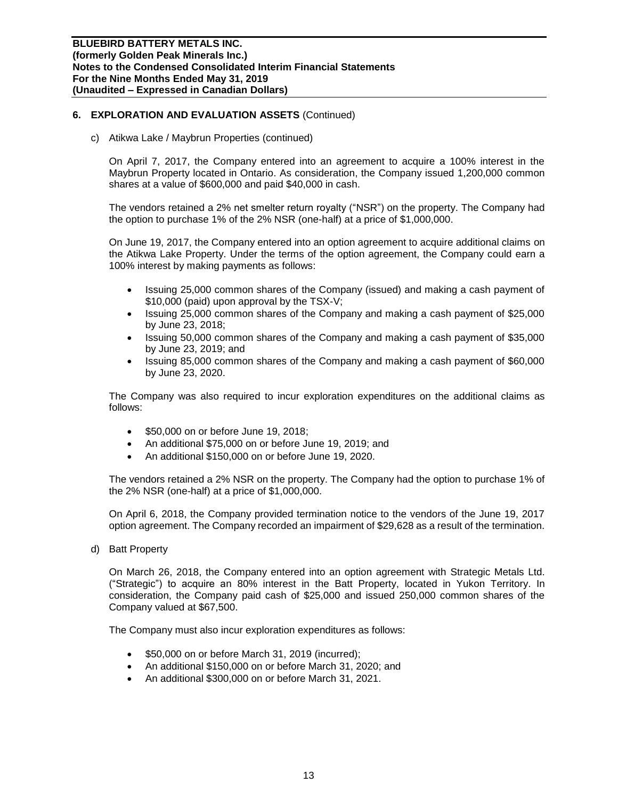c) Atikwa Lake / Maybrun Properties (continued)

On April 7, 2017, the Company entered into an agreement to acquire a 100% interest in the Maybrun Property located in Ontario. As consideration, the Company issued 1,200,000 common shares at a value of \$600,000 and paid \$40,000 in cash.

The vendors retained a 2% net smelter return royalty ("NSR") on the property. The Company had the option to purchase 1% of the 2% NSR (one-half) at a price of \$1,000,000.

On June 19, 2017, the Company entered into an option agreement to acquire additional claims on the Atikwa Lake Property. Under the terms of the option agreement, the Company could earn a 100% interest by making payments as follows:

- Issuing 25,000 common shares of the Company (issued) and making a cash payment of \$10,000 (paid) upon approval by the TSX-V;
- Issuing 25,000 common shares of the Company and making a cash payment of \$25,000 by June 23, 2018;
- Issuing 50,000 common shares of the Company and making a cash payment of \$35,000 by June 23, 2019; and
- Issuing 85,000 common shares of the Company and making a cash payment of \$60,000 by June 23, 2020.

The Company was also required to incur exploration expenditures on the additional claims as follows:

- \$50,000 on or before June 19, 2018;
- An additional \$75,000 on or before June 19, 2019; and
- An additional \$150,000 on or before June 19, 2020.

The vendors retained a 2% NSR on the property. The Company had the option to purchase 1% of the 2% NSR (one-half) at a price of \$1,000,000.

On April 6, 2018, the Company provided termination notice to the vendors of the June 19, 2017 option agreement. The Company recorded an impairment of \$29,628 as a result of the termination.

d) Batt Property

On March 26, 2018, the Company entered into an option agreement with Strategic Metals Ltd. ("Strategic") to acquire an 80% interest in the Batt Property, located in Yukon Territory. In consideration, the Company paid cash of \$25,000 and issued 250,000 common shares of the Company valued at \$67,500.

The Company must also incur exploration expenditures as follows:

- \$50,000 on or before March 31, 2019 (incurred);
- An additional \$150,000 on or before March 31, 2020; and
- An additional \$300,000 on or before March 31, 2021.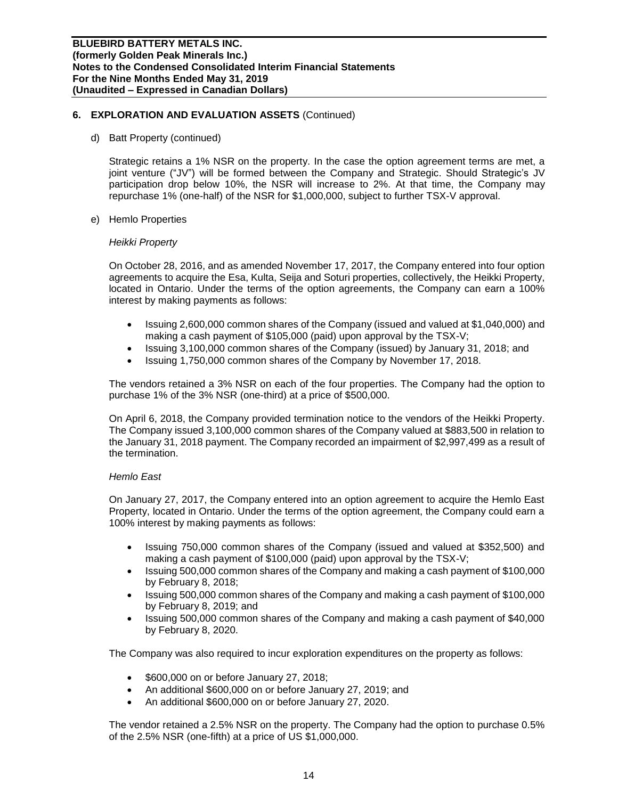d) Batt Property (continued)

Strategic retains a 1% NSR on the property. In the case the option agreement terms are met, a joint venture ("JV") will be formed between the Company and Strategic. Should Strategic's JV participation drop below 10%, the NSR will increase to 2%. At that time, the Company may repurchase 1% (one-half) of the NSR for \$1,000,000, subject to further TSX-V approval.

e) Hemlo Properties

#### *Heikki Property*

On October 28, 2016, and as amended November 17, 2017, the Company entered into four option agreements to acquire the Esa, Kulta, Seija and Soturi properties, collectively, the Heikki Property, located in Ontario. Under the terms of the option agreements, the Company can earn a 100% interest by making payments as follows:

- Issuing 2,600,000 common shares of the Company (issued and valued at \$1,040,000) and making a cash payment of \$105,000 (paid) upon approval by the TSX-V;
- Issuing 3,100,000 common shares of the Company (issued) by January 31, 2018; and
- Issuing 1,750,000 common shares of the Company by November 17, 2018.

The vendors retained a 3% NSR on each of the four properties. The Company had the option to purchase 1% of the 3% NSR (one-third) at a price of \$500,000.

On April 6, 2018, the Company provided termination notice to the vendors of the Heikki Property. The Company issued 3,100,000 common shares of the Company valued at \$883,500 in relation to the January 31, 2018 payment. The Company recorded an impairment of \$2,997,499 as a result of the termination.

### *Hemlo East*

On January 27, 2017, the Company entered into an option agreement to acquire the Hemlo East Property, located in Ontario. Under the terms of the option agreement, the Company could earn a 100% interest by making payments as follows:

- Issuing 750,000 common shares of the Company (issued and valued at \$352,500) and making a cash payment of \$100,000 (paid) upon approval by the TSX-V;
- Issuing 500,000 common shares of the Company and making a cash payment of \$100,000 by February 8, 2018;
- Issuing 500,000 common shares of the Company and making a cash payment of \$100,000 by February 8, 2019; and
- Issuing 500,000 common shares of the Company and making a cash payment of \$40,000 by February 8, 2020.

The Company was also required to incur exploration expenditures on the property as follows:

- \$600,000 on or before January 27, 2018;
- An additional \$600,000 on or before January 27, 2019; and
- An additional \$600,000 on or before January 27, 2020.

The vendor retained a 2.5% NSR on the property. The Company had the option to purchase 0.5% of the 2.5% NSR (one-fifth) at a price of US \$1,000,000.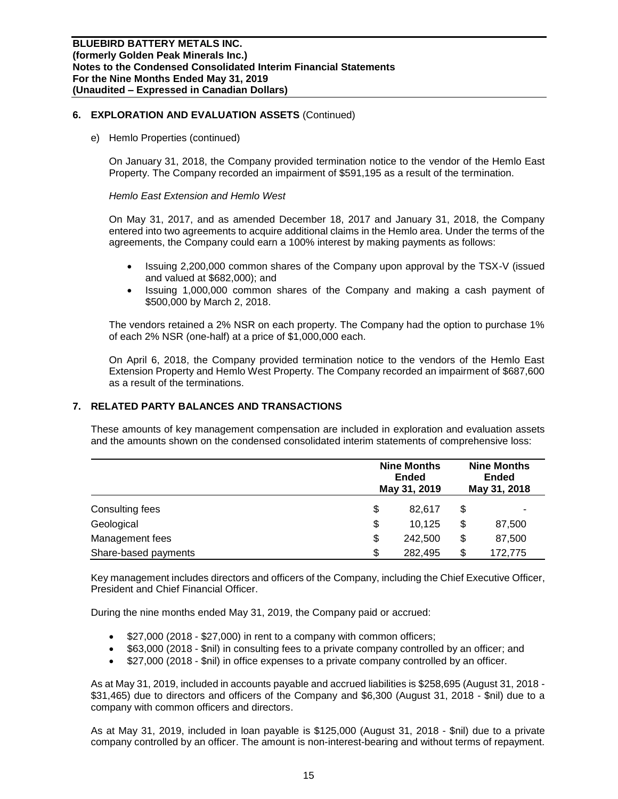e) Hemlo Properties (continued)

On January 31, 2018, the Company provided termination notice to the vendor of the Hemlo East Property. The Company recorded an impairment of \$591,195 as a result of the termination.

#### *Hemlo East Extension and Hemlo West*

On May 31, 2017, and as amended December 18, 2017 and January 31, 2018, the Company entered into two agreements to acquire additional claims in the Hemlo area. Under the terms of the agreements, the Company could earn a 100% interest by making payments as follows:

- Issuing 2,200,000 common shares of the Company upon approval by the TSX-V (issued and valued at \$682,000); and
- Issuing 1,000,000 common shares of the Company and making a cash payment of \$500,000 by March 2, 2018.

The vendors retained a 2% NSR on each property. The Company had the option to purchase 1% of each 2% NSR (one-half) at a price of \$1,000,000 each.

On April 6, 2018, the Company provided termination notice to the vendors of the Hemlo East Extension Property and Hemlo West Property. The Company recorded an impairment of \$687,600 as a result of the terminations.

# **7. RELATED PARTY BALANCES AND TRANSACTIONS**

These amounts of key management compensation are included in exploration and evaluation assets and the amounts shown on the condensed consolidated interim statements of comprehensive loss:

|                      | <b>Nine Months</b><br><b>Ended</b><br>May 31, 2019 |    |         |
|----------------------|----------------------------------------------------|----|---------|
| Consulting fees      | \$<br>82.617                                       | \$ |         |
| Geological           | \$<br>10.125                                       | \$ | 87,500  |
| Management fees      | \$<br>242,500                                      | \$ | 87,500  |
| Share-based payments | \$<br>282,495                                      | S  | 172,775 |

Key management includes directors and officers of the Company, including the Chief Executive Officer, President and Chief Financial Officer.

During the nine months ended May 31, 2019, the Company paid or accrued:

- \$27,000 (2018 \$27,000) in rent to a company with common officers;
- \$63,000 (2018 \$nil) in consulting fees to a private company controlled by an officer; and
- \$27,000 (2018 \$nil) in office expenses to a private company controlled by an officer.

As at May 31, 2019, included in accounts payable and accrued liabilities is \$258,695 (August 31, 2018 - \$31,465) due to directors and officers of the Company and \$6,300 (August 31, 2018 - \$nil) due to a company with common officers and directors.

As at May 31, 2019, included in loan payable is \$125,000 (August 31, 2018 - \$nil) due to a private company controlled by an officer. The amount is non-interest-bearing and without terms of repayment.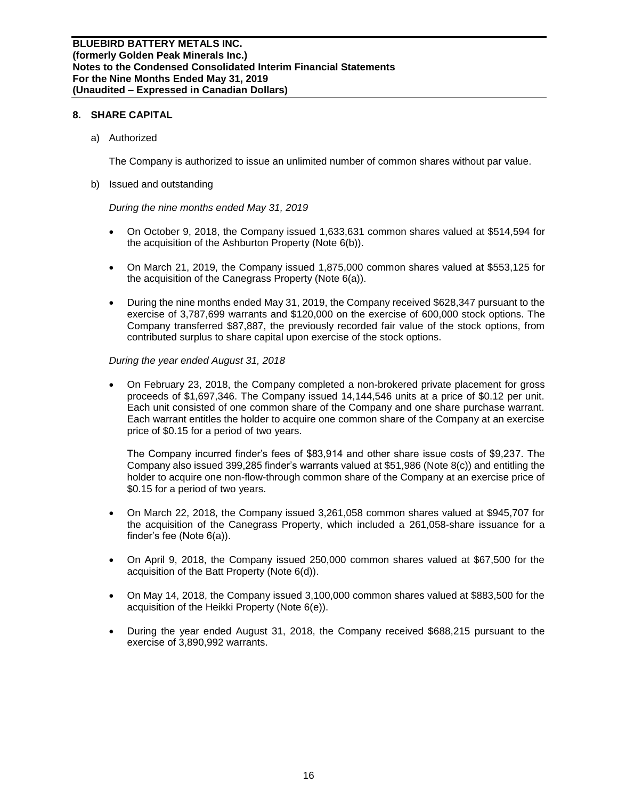# **8. SHARE CAPITAL**

a) Authorized

The Company is authorized to issue an unlimited number of common shares without par value.

b) Issued and outstanding

*During the nine months ended May 31, 2019*

- On October 9, 2018, the Company issued 1,633,631 common shares valued at \$514,594 for the acquisition of the Ashburton Property (Note 6(b)).
- On March 21, 2019, the Company issued 1,875,000 common shares valued at \$553,125 for the acquisition of the Canegrass Property (Note 6(a)).
- During the nine months ended May 31, 2019, the Company received \$628,347 pursuant to the exercise of 3,787,699 warrants and \$120,000 on the exercise of 600,000 stock options. The Company transferred \$87,887, the previously recorded fair value of the stock options, from contributed surplus to share capital upon exercise of the stock options.

*During the year ended August 31, 2018*

• On February 23, 2018, the Company completed a non-brokered private placement for gross proceeds of \$1,697,346. The Company issued 14,144,546 units at a price of \$0.12 per unit. Each unit consisted of one common share of the Company and one share purchase warrant. Each warrant entitles the holder to acquire one common share of the Company at an exercise price of \$0.15 for a period of two years.

The Company incurred finder's fees of \$83,914 and other share issue costs of \$9,237. The Company also issued 399,285 finder's warrants valued at \$51,986 (Note 8(c)) and entitling the holder to acquire one non-flow-through common share of the Company at an exercise price of \$0.15 for a period of two years.

- On March 22, 2018, the Company issued 3,261,058 common shares valued at \$945,707 for the acquisition of the Canegrass Property, which included a 261,058-share issuance for a finder's fee (Note 6(a)).
- On April 9, 2018, the Company issued 250,000 common shares valued at \$67,500 for the acquisition of the Batt Property (Note 6(d)).
- On May 14, 2018, the Company issued 3,100,000 common shares valued at \$883,500 for the acquisition of the Heikki Property (Note 6(e)).
- During the year ended August 31, 2018, the Company received \$688,215 pursuant to the exercise of 3,890,992 warrants.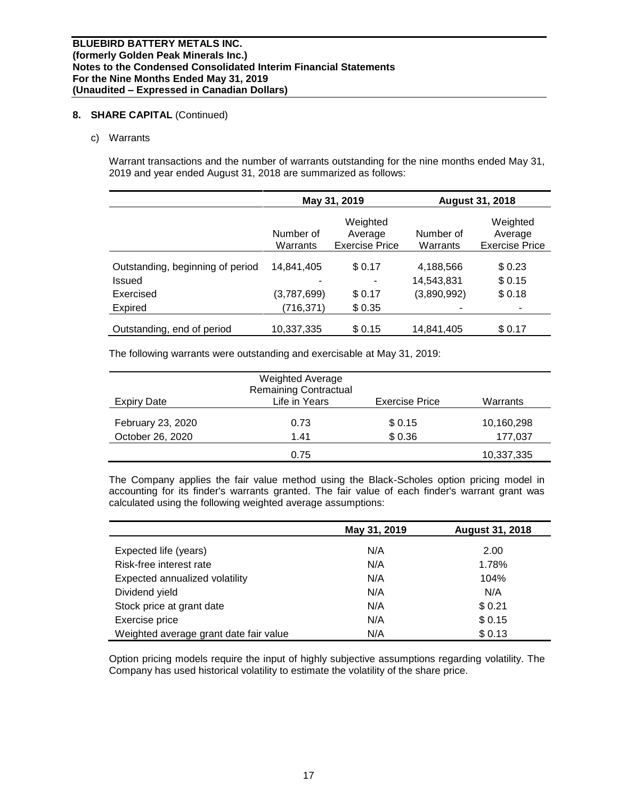# **8. SHARE CAPITAL** (Continued)

### c) Warrants

Warrant transactions and the number of warrants outstanding for the nine months ended May 31, 2019 and year ended August 31, 2018 are summarized as follows:

|                                  |                       | May 31, 2019                                 | <b>August 31, 2018</b>    |                                              |  |
|----------------------------------|-----------------------|----------------------------------------------|---------------------------|----------------------------------------------|--|
|                                  | Number of<br>Warrants | Weighted<br>Average<br><b>Exercise Price</b> | Number of<br>Warrants     | Weighted<br>Average<br><b>Exercise Price</b> |  |
| Outstanding, beginning of period | 14,841,405            | \$0.17                                       | 4,188,566                 | \$0.23                                       |  |
| Issued<br>Exercised              | (3,787,699)           | -<br>\$0.17                                  | 14,543,831<br>(3,890,992) | \$0.15<br>\$0.18                             |  |
| Expired                          | (716,371)             | \$0.35                                       |                           | ۰                                            |  |
| Outstanding, end of period       | 10,337,335            | \$0.15                                       | 14,841,405                | \$0.17                                       |  |

The following warrants were outstanding and exercisable at May 31, 2019:

| <b>Expiry Date</b>                    | <b>Weighted Average</b><br><b>Remaining Contractual</b><br>Life in Years | <b>Exercise Price</b> | Warrants              |
|---------------------------------------|--------------------------------------------------------------------------|-----------------------|-----------------------|
| February 23, 2020<br>October 26, 2020 | 0.73<br>1.41                                                             | \$ 0.15<br>\$0.36     | 10,160,298<br>177,037 |
|                                       | 0.75                                                                     |                       | 10,337,335            |

The Company applies the fair value method using the Black-Scholes option pricing model in accounting for its finder's warrants granted. The fair value of each finder's warrant grant was calculated using the following weighted average assumptions:

|                                        | May 31, 2019 | <b>August 31, 2018</b> |
|----------------------------------------|--------------|------------------------|
| Expected life (years)                  | N/A          | 2.00                   |
| Risk-free interest rate                | N/A          | 1.78%                  |
| Expected annualized volatility         | N/A          | 104%                   |
| Dividend yield                         | N/A          | N/A                    |
| Stock price at grant date              | N/A          | \$0.21                 |
| Exercise price                         | N/A          | \$0.15                 |
| Weighted average grant date fair value | N/A          | \$0.13                 |

Option pricing models require the input of highly subjective assumptions regarding volatility. The Company has used historical volatility to estimate the volatility of the share price.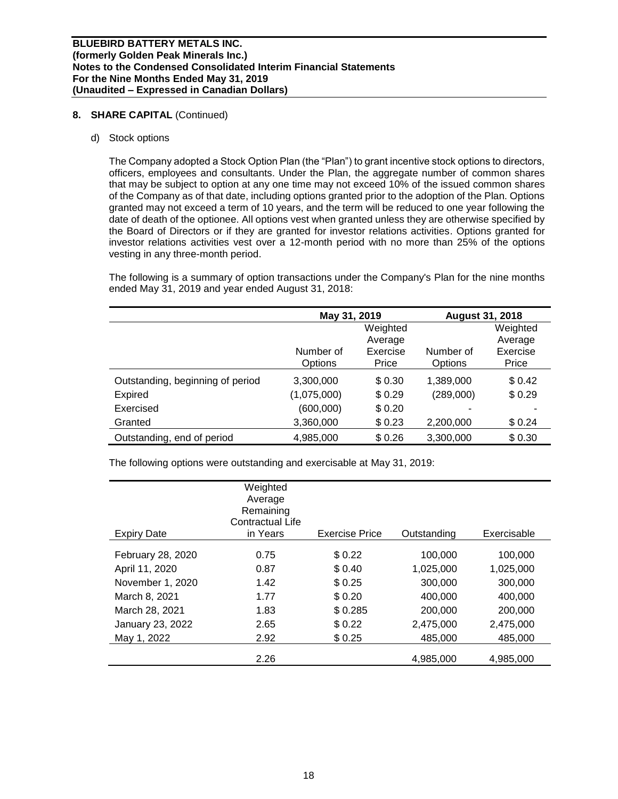# **8. SHARE CAPITAL** (Continued)

### d) Stock options

The Company adopted a Stock Option Plan (the "Plan") to grant incentive stock options to directors, officers, employees and consultants. Under the Plan, the aggregate number of common shares that may be subject to option at any one time may not exceed 10% of the issued common shares of the Company as of that date, including options granted prior to the adoption of the Plan. Options granted may not exceed a term of 10 years, and the term will be reduced to one year following the date of death of the optionee. All options vest when granted unless they are otherwise specified by the Board of Directors or if they are granted for investor relations activities. Options granted for investor relations activities vest over a 12-month period with no more than 25% of the options vesting in any three-month period.

The following is a summary of option transactions under the Company's Plan for the nine months ended May 31, 2019 and year ended August 31, 2018:

|                                  | May 31, 2019 |          | <b>August 31, 2018</b> |          |
|----------------------------------|--------------|----------|------------------------|----------|
|                                  |              | Weighted |                        | Weighted |
|                                  |              | Average  |                        | Average  |
|                                  | Number of    | Exercise | Number of              | Exercise |
|                                  | Options      | Price    | Options                | Price    |
| Outstanding, beginning of period | 3,300,000    | \$0.30   | 1,389,000              | \$0.42   |
| <b>Expired</b>                   | (1,075,000)  | \$0.29   | (289,000)              | \$0.29   |
| Exercised                        | (600,000)    | \$0.20   |                        |          |
| Granted                          | 3,360,000    | \$0.23   | 2,200,000              | \$0.24   |
| Outstanding, end of period       | 4,985,000    | \$0.26   | 3,300,000              | \$0.30   |

The following options were outstanding and exercisable at May 31, 2019:

| <b>Expiry Date</b> | Weighted<br>Average<br>Remaining<br>Contractual Life<br>in Years | <b>Exercise Price</b> | Outstanding | Exercisable |
|--------------------|------------------------------------------------------------------|-----------------------|-------------|-------------|
|                    |                                                                  |                       |             |             |
| February 28, 2020  | 0.75                                                             | \$0.22                | 100,000     | 100,000     |
| April 11, 2020     | 0.87                                                             | \$0.40                | 1,025,000   | 1,025,000   |
| November 1, 2020   | 1.42                                                             | \$0.25                | 300,000     | 300,000     |
| March 8, 2021      | 1.77                                                             | \$0.20                | 400,000     | 400,000     |
| March 28, 2021     | 1.83                                                             | \$0.285               | 200,000     | 200,000     |
| January 23, 2022   | 2.65                                                             | \$0.22                | 2,475,000   | 2,475,000   |
| May 1, 2022        | 2.92                                                             | \$0.25                | 485,000     | 485,000     |
|                    | 2.26                                                             |                       | 4.985.000   | 4.985.000   |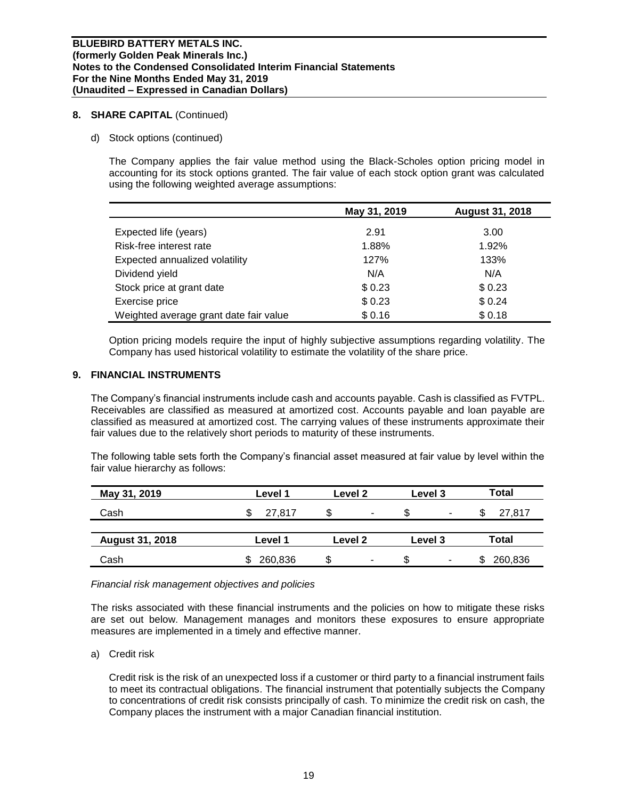# **8. SHARE CAPITAL** (Continued)

# d) Stock options (continued)

The Company applies the fair value method using the Black-Scholes option pricing model in accounting for its stock options granted. The fair value of each stock option grant was calculated using the following weighted average assumptions:

|                                        | May 31, 2019 | <b>August 31, 2018</b> |
|----------------------------------------|--------------|------------------------|
| Expected life (years)                  | 2.91         | 3.00                   |
| Risk-free interest rate                | 1.88%        | 1.92%                  |
| Expected annualized volatility         | 127%         | 133%                   |
| Dividend yield                         | N/A          | N/A                    |
| Stock price at grant date              | \$0.23       | \$0.23                 |
| Exercise price                         | \$0.23       | \$0.24                 |
| Weighted average grant date fair value | \$0.16       | \$0.18                 |

Option pricing models require the input of highly subjective assumptions regarding volatility. The Company has used historical volatility to estimate the volatility of the share price.

# **9. FINANCIAL INSTRUMENTS**

The Company's financial instruments include cash and accounts payable. Cash is classified as FVTPL. Receivables are classified as measured at amortized cost. Accounts payable and loan payable are classified as measured at amortized cost. The carrying values of these instruments approximate their fair values due to the relatively short periods to maturity of these instruments.

The following table sets forth the Company's financial asset measured at fair value by level within the fair value hierarchy as follows:

| May 31, 2019           | Level 1 | Level 2 | Level 3 | Total        |
|------------------------|---------|---------|---------|--------------|
| Cash                   | 27.817  | ۰       | \$<br>٠ | 27,817<br>Ъ  |
| <b>August 31, 2018</b> | Level 1 | Level 2 | Level 3 | Total        |
| Cash                   | 260,836 | S<br>۰  | \$<br>- | 260,836<br>S |

### *Financial risk management objectives and policies*

The risks associated with these financial instruments and the policies on how to mitigate these risks are set out below. Management manages and monitors these exposures to ensure appropriate measures are implemented in a timely and effective manner.

a) Credit risk

Credit risk is the risk of an unexpected loss if a customer or third party to a financial instrument fails to meet its contractual obligations. The financial instrument that potentially subjects the Company to concentrations of credit risk consists principally of cash. To minimize the credit risk on cash, the Company places the instrument with a major Canadian financial institution.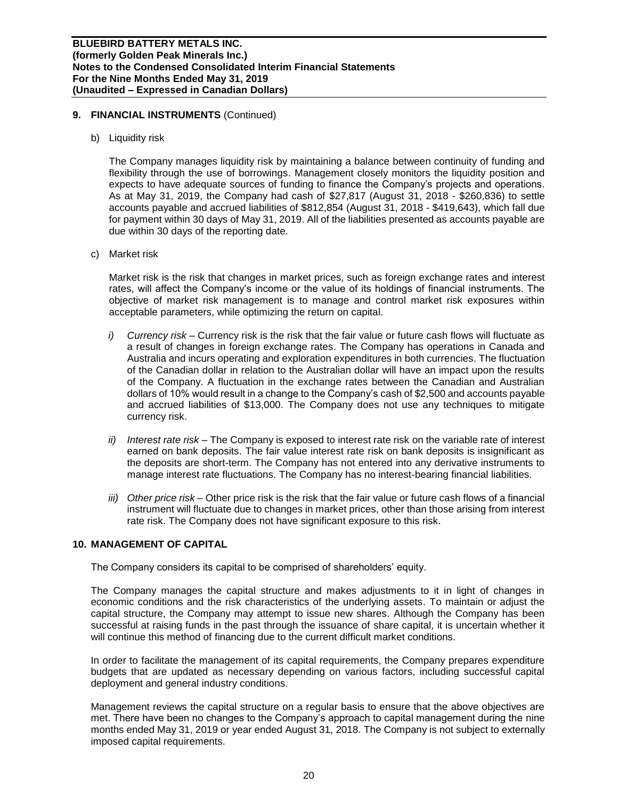# **9. FINANCIAL INSTRUMENTS** (Continued)

b) Liquidity risk

The Company manages liquidity risk by maintaining a balance between continuity of funding and flexibility through the use of borrowings. Management closely monitors the liquidity position and expects to have adequate sources of funding to finance the Company's projects and operations. As at May 31, 2019, the Company had cash of \$27,817 (August 31, 2018 - \$260,836) to settle accounts payable and accrued liabilities of \$812,854 (August 31, 2018 - \$419,643), which fall due for payment within 30 days of May 31, 2019. All of the liabilities presented as accounts payable are due within 30 days of the reporting date.

c) Market risk

Market risk is the risk that changes in market prices, such as foreign exchange rates and interest rates, will affect the Company's income or the value of its holdings of financial instruments. The objective of market risk management is to manage and control market risk exposures within acceptable parameters, while optimizing the return on capital.

- *i) Currency risk –* Currency risk is the risk that the fair value or future cash flows will fluctuate as a result of changes in foreign exchange rates. The Company has operations in Canada and Australia and incurs operating and exploration expenditures in both currencies. The fluctuation of the Canadian dollar in relation to the Australian dollar will have an impact upon the results of the Company. A fluctuation in the exchange rates between the Canadian and Australian dollars of 10% would result in a change to the Company's cash of \$2,500 and accounts payable and accrued liabilities of \$13,000. The Company does not use any techniques to mitigate currency risk.
- *ii) Interest rate risk –* The Company is exposed to interest rate risk on the variable rate of interest earned on bank deposits. The fair value interest rate risk on bank deposits is insignificant as the deposits are short-term. The Company has not entered into any derivative instruments to manage interest rate fluctuations. The Company has no interest-bearing financial liabilities.
- *iii) Other price risk –* Other price risk is the risk that the fair value or future cash flows of a financial instrument will fluctuate due to changes in market prices, other than those arising from interest rate risk. The Company does not have significant exposure to this risk.

# **10. MANAGEMENT OF CAPITAL**

The Company considers its capital to be comprised of shareholders' equity.

The Company manages the capital structure and makes adjustments to it in light of changes in economic conditions and the risk characteristics of the underlying assets. To maintain or adjust the capital structure, the Company may attempt to issue new shares. Although the Company has been successful at raising funds in the past through the issuance of share capital, it is uncertain whether it will continue this method of financing due to the current difficult market conditions.

In order to facilitate the management of its capital requirements, the Company prepares expenditure budgets that are updated as necessary depending on various factors, including successful capital deployment and general industry conditions.

Management reviews the capital structure on a regular basis to ensure that the above objectives are met. There have been no changes to the Company's approach to capital management during the nine months ended May 31, 2019 or year ended August 31, 2018. The Company is not subject to externally imposed capital requirements.